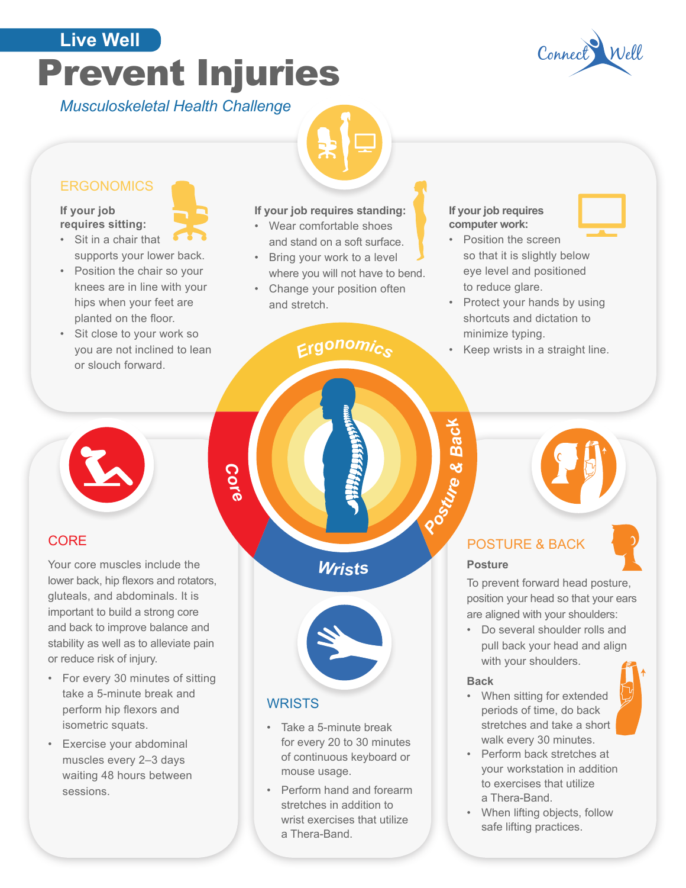# **Prevent Injuries** Connect **Live Well**



# *Musculoskeletal Health Challenge*



# **ERGONOMICS**

**If your job requires sitting:** 

- Sit in a chair that
- supports your lower back. • Position the chair so your
- knees are in line with your hips when your feet are planted on the floor.
- Sit close to your work so you are not inclined to lean or slouch forward.

#### **If your job requires standing:**

- Wear comfortable shoes and stand on a soft surface.
- Bring your work to a level where you will not have to bend.
- Change your position often and stretch.

# *Ergonomic<sup>s</sup>*

### **If your job requires computer work:**



- Position the screen so that it is slightly below eye level and positioned to reduce glare.
- Protect your hands by using shortcuts and dictation to minimize typing.
- Keep wrists in a straight line.

# Your core muscles include the lower back, hip flexors and rotators, gluteals, and abdominals. It is

important to build a strong core and back to improve balance and stability as well as to alleviate pain or reduce risk of injury.

- For every 30 minutes of sitting take a 5-minute break and perform hip flexors and isometric squats.
- Exercise your abdominal muscles every 2–3 days waiting 48 hours between sessions.

*Wrists*



# **WRISTS**

*Core* 

- Take a 5-minute break for every 20 to 30 minutes of continuous keyboard or mouse usage.
- Perform hand and forearm stretches in addition to wrist exercises that utilize a Thera-Band.

**CORE EXECUTIVE A BACK CORE** 

### **Posture**

*Posture*

*&* <u>m</u> *ack*

> To prevent forward head posture, position your head so that your ears are aligned with your shoulders:

• Do several shoulder rolls and pull back your head and align with your shoulders.

#### **Back**

- When sitting for extended periods of time, do back stretches and take a short walk every 30 minutes.
- Perform back stretches at your workstation in addition to exercises that utilize a Thera-Band.
- When lifting objects, follow safe lifting practices.